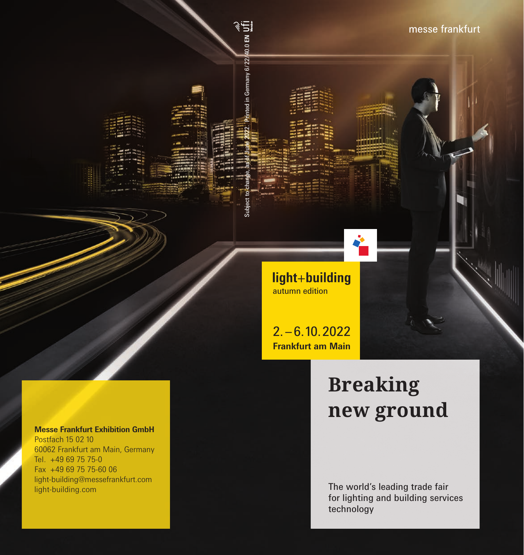

light+building autumn edition

Subject to change, as of June 2022. Printed in Germany 6 / 22 /40.0 **EN**

 $.0$  EN

Iny 6/22/

 $2. - 6.10.2022$ **Frankfurt am Main**

# **Breaking new ground**

The world's leading trade fair for lighting and building services technology

#### **Messe Frankfurt Exhibition GmbH** Postfach 15 02 10 60062 Frankfurt am Main, Germany Tel. +49 69 75 75-0 Fax +49 69 75 75-60 06 light-building@messefrankfurt.com

light-building.com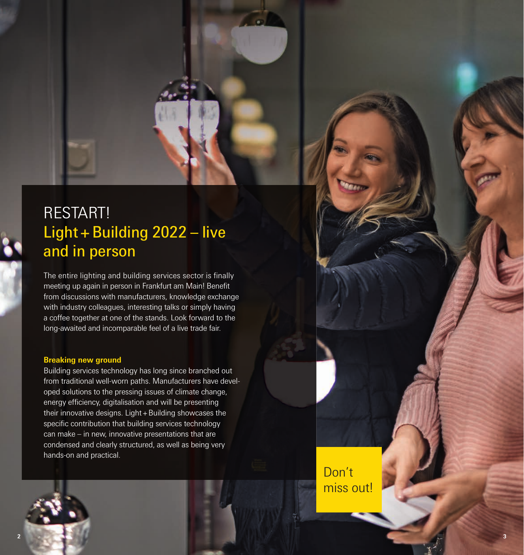# RESTART! Light + Building 2022 – live and in person

The entire lighting and building services sector is finally meeting up again in person in Frankfurt am Main! Benefit from discussions with manufacturers, knowledge exchange with industry colleagues, interesting talks or simply having a coffee together at one of the stands. Look forward to the long-awaited and incomparable feel of a live trade fair.

#### **Breaking new ground**

Building services technology has long since branched out from traditional well-worn paths. Manufacturers have developed solutions to the pressing issues of climate change, energy efficiency, digitalisation and will be presenting their innovative designs. Light + Building showcases the specific contribution that building services technology can make – in new, innovative presentations that are condensed and clearly structured, as well as being very hands-on and practical.

> Don't miss out!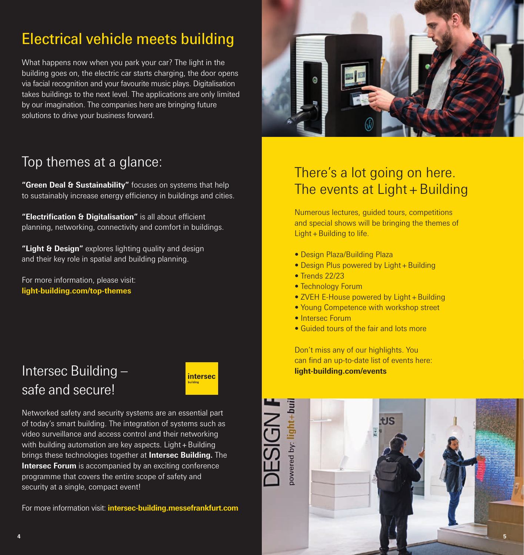# Electrical vehicle meets building

What happens now when you park your car? The light in the building goes on, the electric car starts charging, the door opens via facial recognition and your favourite music plays. Digitalisation takes buildings to the next level. The applications are only limited by our imagination. The companies here are bringing future solutions to drive your business forward.



#### Top themes at a glance:

**"Green Deal & Sustainability"** focuses on systems that help to sustainably increase energy efficiency in buildings and cities.

**"Electrification & Digitalisation"** is all about efficient planning, networking, connectivity and comfort in buildings.

**"Light & Design"** explores lighting quality and design and their key role in spatial and building planning.

For more information, please visit: **light-building.com/top-themes**

### Intersec Building – safe and secure!



Networked safety and security systems are an essential part of today's smart building. The integration of systems such as video surveillance and access control and their networking with building automation are key aspects. Light + Building brings these technologies together at **Intersec Building.** The **Intersec Forum** is accompanied by an exciting conference programme that covers the entire scope of safety and security at a single, compact event!

For more information visit: **intersec-building.messefrankfurt.com**

### There's a lot going on here. The events at  $Light + Building$

Numerous lectures, guided tours, competitions and special shows will be bringing the themes of Light  $+$  Building to life.

- Design Plaza/Building Plaza
- Design Plus powered by Light + Building
- Trends 22/23
- Technology Forum
- ZVEH E-House powered by Light + Building
- Young Competence with workshop street
- Intersec Forum

DESIGN

• Guided tours of the fair and lots more

Don't miss any of our highlights. You can find an up-to-date list of events here: **light-building.com/events**